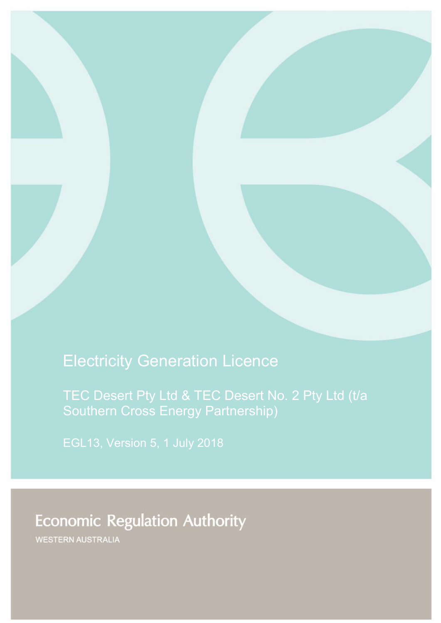# Electricity Generation Licence

TEC Desert Pty Ltd & TEC Desert No. 2 Pty Ltd (t/a Southern Cross Energy Partnership)

# **Economic Regulation Authority**

WESTERN AUSTRALIA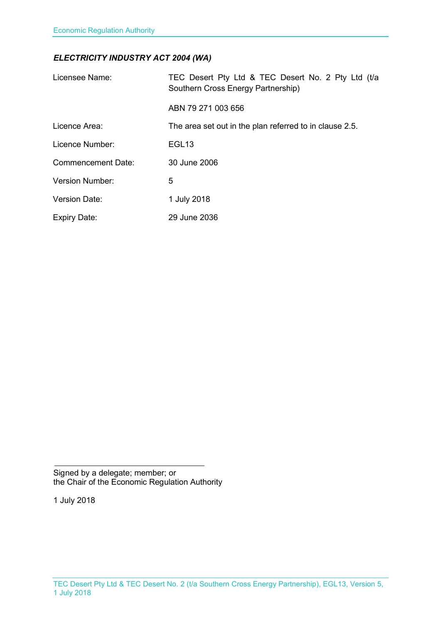### *ELECTRICITY INDUSTRY ACT 2004 (WA)*

| Licensee Name:            | TEC Desert Pty Ltd & TEC Desert No. 2 Pty Ltd (t/a<br>Southern Cross Energy Partnership) |
|---------------------------|------------------------------------------------------------------------------------------|
|                           | ABN 79 271 003 656                                                                       |
| Licence Area:             | The area set out in the plan referred to in clause 2.5.                                  |
| Licence Number:           | EGL <sub>13</sub>                                                                        |
| <b>Commencement Date:</b> | 30 June 2006                                                                             |
| Version Number:           | 5                                                                                        |
| <b>Version Date:</b>      | 1 July 2018                                                                              |
| <b>Expiry Date:</b>       | 29 June 2036                                                                             |

Signed by a delegate; member; or the Chair of the Economic Regulation Authority

1 July 2018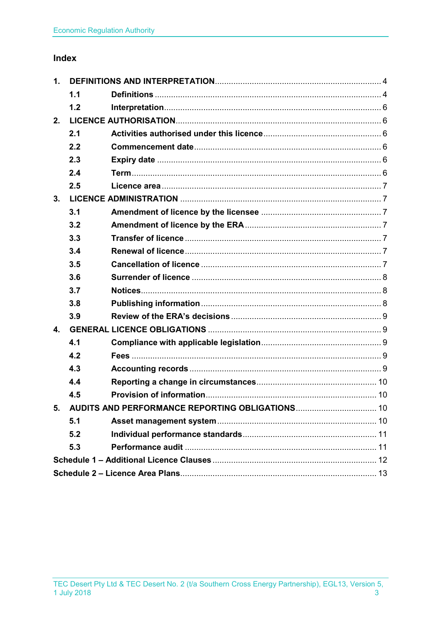### Index

| 1.             |     |                                                    |  |
|----------------|-----|----------------------------------------------------|--|
|                | 1.1 |                                                    |  |
|                | 1.2 |                                                    |  |
| 2.             |     |                                                    |  |
|                | 2.1 |                                                    |  |
|                | 2.2 |                                                    |  |
|                | 2.3 |                                                    |  |
|                | 2.4 |                                                    |  |
|                | 2.5 |                                                    |  |
| 3.             |     |                                                    |  |
|                | 3.1 |                                                    |  |
|                | 3.2 |                                                    |  |
|                | 3.3 |                                                    |  |
|                | 3.4 |                                                    |  |
|                | 3.5 |                                                    |  |
|                | 3.6 |                                                    |  |
|                | 3.7 |                                                    |  |
|                | 3.8 |                                                    |  |
|                | 3.9 |                                                    |  |
| $\mathbf{4}$ . |     |                                                    |  |
|                | 4.1 |                                                    |  |
|                | 4.2 |                                                    |  |
|                | 4.3 |                                                    |  |
|                | 4.4 |                                                    |  |
|                | 4.5 |                                                    |  |
|                |     | 5. AUDITS AND PERFORMANCE REPORTING OBLIGATIONS 10 |  |
|                | 5.1 |                                                    |  |
|                | 5.2 |                                                    |  |
|                | 5.3 |                                                    |  |
|                |     |                                                    |  |
|                |     |                                                    |  |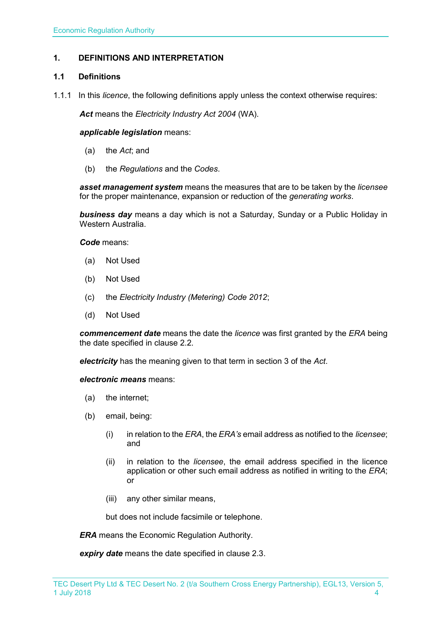### <span id="page-3-0"></span>**1. DEFINITIONS AND INTERPRETATION**

#### <span id="page-3-1"></span>**1.1 Definitions**

1.1.1 In this *licence*, the following definitions apply unless the context otherwise requires:

*Act* means the *Electricity Industry Act 2004* (WA).

#### *applicable legislation* means:

- (a) the *Act*; and
- (b) the *Regulations* and the *Codes*.

*asset management system* means the measures that are to be taken by the *licensee* for the proper maintenance, expansion or reduction of the *generating works*.

*business day* means a day which is not a Saturday, Sunday or a Public Holiday in Western Australia.

*Code* means:

- (a) Not Used
- (b) Not Used
- (c) the *Electricity Industry (Metering) Code 2012*;
- (d) Not Used

*commencement date* means the date the *licence* was first granted by the *ERA* being the date specified in clause 2.2.

*electricity* has the meaning given to that term in section 3 of the *Act*.

*electronic means* means:

- (a) the internet;
- (b) email, being:
	- (i) in relation to the *ERA*, the *ERA's* email address as notified to the *licensee*; and
	- (ii) in relation to the *licensee*, the email address specified in the licence application or other such email address as notified in writing to the *ERA*; or
	- (iii) any other similar means,

but does not include facsimile or telephone.

*ERA* means the Economic Regulation Authority.

*expiry date* means the date specified in clause 2.3.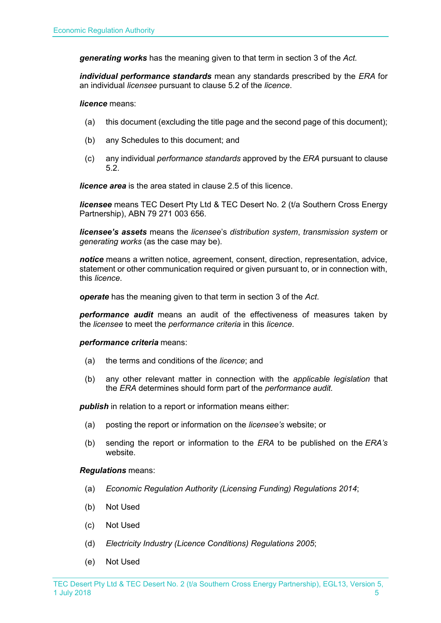*generating works* has the meaning given to that term in section 3 of the *Act.*

*individual performance standards* mean any standards prescribed by the *ERA* for an individual *licensee* pursuant to clause 5.2 of the *licence*.

*licence* means:

- (a) this document (excluding the title page and the second page of this document);
- (b) any Schedules to this document; and
- (c) any individual *performance standards* approved by the *ERA* pursuant to clause 5.2.

*licence area* is the area stated in clause 2.5 of this licence.

*licensee* means TEC Desert Pty Ltd & TEC Desert No. 2 (t/a Southern Cross Energy Partnership), ABN 79 271 003 656.

*licensee's assets* means the *licensee*'s *distribution system*, *transmission system* or *generating works* (as the case may be).

*notice* means a written notice, agreement, consent, direction, representation, advice, statement or other communication required or given pursuant to, or in connection with, this *licence*.

*operate* has the meaning given to that term in section 3 of the *Act*.

*performance audit* means an audit of the effectiveness of measures taken by the *licensee* to meet the *performance criteria* in this *licence*.

*performance criteria* means:

- (a) the terms and conditions of the *licence*; and
- (b) any other relevant matter in connection with the *applicable legislation* that the *ERA* determines should form part of the *performance audit*.

**publish** in relation to a report or information means either:

- (a) posting the report or information on the *licensee's* website; or
- (b) sending the report or information to the *ERA* to be published on the *ERA's* website.

*Regulations* means:

- (a) *Economic Regulation Authority (Licensing Funding) Regulations 2014*;
- (b) Not Used
- (c) Not Used
- (d) *Electricity Industry (Licence Conditions) Regulations 2005*;
- (e) Not Used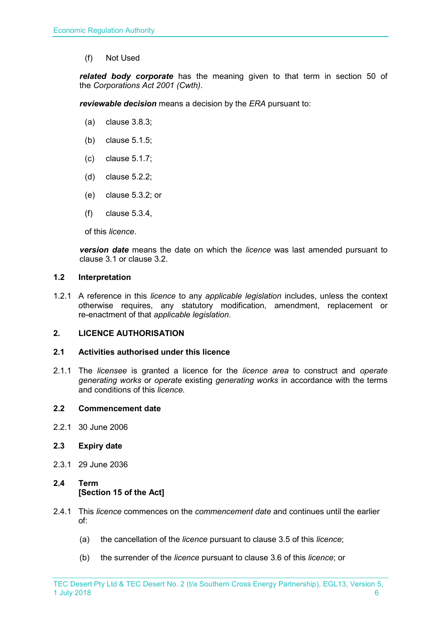(f) Not Used

*related body corporate* has the meaning given to that term in section 50 of the *Corporations Act 2001 (Cwth)*.

*reviewable decision* means a decision by the *ERA* pursuant to:

- (a) clause 3.8.3;
- (b) clause 5.1.5;
- (c) clause 5.1.7;
- (d) clause 5.2.2;
- (e) clause 5.3.2; or
- (f) clause 5.3.4,

of this *licence*.

*version date* means the date on which the *licence* was last amended pursuant to clause 3.1 or clause 3.2.

#### <span id="page-5-0"></span>**1.2 Interpretation**

1.2.1 A reference in this *licence* to any *applicable legislation* includes, unless the context otherwise requires, any statutory modification, amendment, replacement or re-enactment of that *applicable legislation*.

#### <span id="page-5-1"></span>**2. LICENCE AUTHORISATION**

#### <span id="page-5-2"></span>**2.1 Activities authorised under this licence**

2.1.1 The *licensee* is granted a licence for the *licence area* to construct and *operate generating works* or *operate* existing *generating works* in accordance with the terms and conditions of this *licence*.

#### <span id="page-5-3"></span>**2.2 Commencement date**

2.2.1 30 June 2006

#### <span id="page-5-4"></span>**2.3 Expiry date**

2.3.1 29 June 2036

### <span id="page-5-5"></span>**2.4 Term [Section 15 of the Act]**

- 2.4.1 This *licence* commences on the *commencement date* and continues until the earlier of:
	- (a) the cancellation of the *licence* pursuant to clause 3.5 of this *licence*;
	- (b) the surrender of the *licence* pursuant to clause 3.6 of this *licence*; or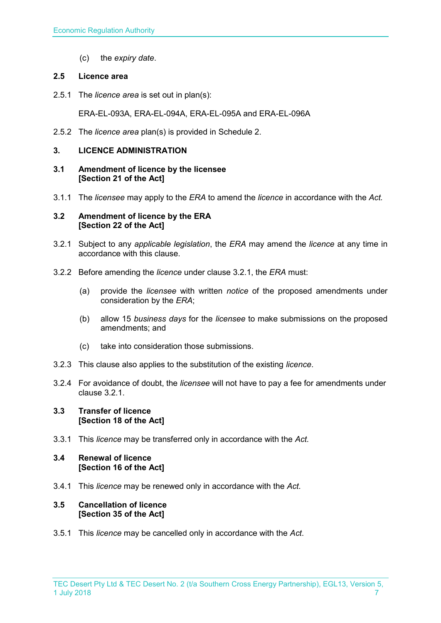(c) the *expiry date*.

#### <span id="page-6-0"></span>**2.5 Licence area**

2.5.1 The *licence area* is set out in plan(s):

ERA-EL-093A, ERA-EL-094A, ERA-EL-095A and ERA-EL-096A

2.5.2 The *licence area* plan(s) is provided in Schedule 2.

#### <span id="page-6-1"></span>**3. LICENCE ADMINISTRATION**

#### <span id="page-6-2"></span>**3.1 Amendment of licence by the licensee [Section 21 of the Act]**

3.1.1 The *licensee* may apply to the *ERA* to amend the *licence* in accordance with the *Act.*

#### <span id="page-6-3"></span>**3.2 Amendment of licence by the ERA [Section 22 of the Act]**

- 3.2.1 Subject to any *applicable legislation*, the *ERA* may amend the *licence* at any time in accordance with this clause.
- 3.2.2 Before amending the *licence* under clause 3.2.1, the *ERA* must:
	- (a) provide the *licensee* with written *notice* of the proposed amendments under consideration by the *ERA*;
	- (b) allow 15 *business days* for the *licensee* to make submissions on the proposed amendments; and
	- (c) take into consideration those submissions.
- 3.2.3 This clause also applies to the substitution of the existing *licence*.
- 3.2.4 For avoidance of doubt, the *licensee* will not have to pay a fee for amendments under clause 3.2.1.

#### <span id="page-6-4"></span>**3.3 Transfer of licence [Section 18 of the Act]**

3.3.1 This *licence* may be transferred only in accordance with the *Act.*

#### <span id="page-6-5"></span>**3.4 Renewal of licence [Section 16 of the Act]**

3.4.1 This *licence* may be renewed only in accordance with the *Act*.

#### <span id="page-6-6"></span>**3.5 Cancellation of licence [Section 35 of the Act]**

3.5.1 This *licence* may be cancelled only in accordance with the *Act*.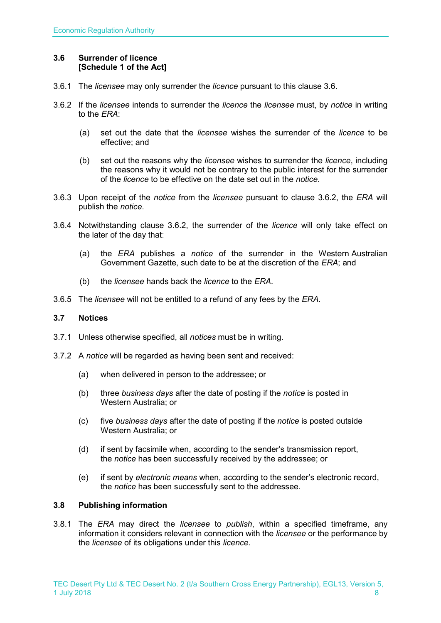#### <span id="page-7-0"></span>**3.6 Surrender of licence [Schedule 1 of the Act]**

- 3.6.1 The *licensee* may only surrender the *licence* pursuant to this clause 3.6.
- 3.6.2 If the *licensee* intends to surrender the *licence* the *licensee* must, by *notice* in writing to the *ERA*:
	- (a) set out the date that the *licensee* wishes the surrender of the *licence* to be effective; and
	- (b) set out the reasons why the *licensee* wishes to surrender the *licence*, including the reasons why it would not be contrary to the public interest for the surrender of the *licence* to be effective on the date set out in the *notice*.
- 3.6.3 Upon receipt of the *notice* from the *licensee* pursuant to clause 3.6.2, the *ERA* will publish the *notice*.
- 3.6.4 Notwithstanding clause 3.6.2, the surrender of the *licence* will only take effect on the later of the day that:
	- (a) the *ERA* publishes a *notice* of the surrender in the Western Australian Government Gazette, such date to be at the discretion of the *ERA*; and
	- (b) the *licensee* hands back the *licence* to the *ERA*.
- 3.6.5 The *licensee* will not be entitled to a refund of any fees by the *ERA*.

#### <span id="page-7-1"></span>**3.7 Notices**

- 3.7.1 Unless otherwise specified, all *notices* must be in writing.
- 3.7.2 A *notice* will be regarded as having been sent and received:
	- (a) when delivered in person to the addressee; or
	- (b) three *business days* after the date of posting if the *notice* is posted in Western Australia; or
	- (c) five *business days* after the date of posting if the *notice* is posted outside Western Australia; or
	- (d) if sent by facsimile when, according to the sender's transmission report, the *notice* has been successfully received by the addressee; or
	- (e) if sent by *electronic means* when, according to the sender's electronic record, the *notice* has been successfully sent to the addressee.

#### <span id="page-7-2"></span>**3.8 Publishing information**

3.8.1 The *ERA* may direct the *licensee* to *publish*, within a specified timeframe, any information it considers relevant in connection with the *licensee* or the performance by the *licensee* of its obligations under this *licence*.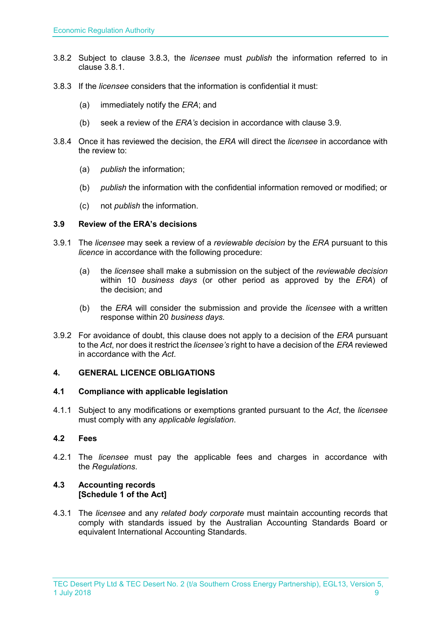- 3.8.2 Subject to clause 3.8.3, the *licensee* must *publish* the information referred to in clause 3.8.1.
- 3.8.3 If the *licensee* considers that the information is confidential it must:
	- (a) immediately notify the *ERA*; and
	- (b) seek a review of the *ERA's* decision in accordance with clause 3.9.
- 3.8.4 Once it has reviewed the decision, the *ERA* will direct the *licensee* in accordance with the review to:
	- (a) *publish* the information;
	- (b) *publish* the information with the confidential information removed or modified; or
	- (c) not *publish* the information.

#### <span id="page-8-0"></span>**3.9 Review of the ERA's decisions**

- 3.9.1 The *licensee* may seek a review of a *reviewable decision* by the *ERA* pursuant to this *licence* in accordance with the following procedure:
	- (a) the *licensee* shall make a submission on the subject of the *reviewable decision* within 10 *business days* (or other period as approved by the *ERA*) of the decision; and
	- (b) the *ERA* will consider the submission and provide the *licensee* with a written response within 20 *business days*.
- 3.9.2 For avoidance of doubt, this clause does not apply to a decision of the *ERA* pursuant to the *Act*, nor does it restrict the *licensee's* right to have a decision of the *ERA* reviewed in accordance with the *Act*.

#### <span id="page-8-1"></span>**4. GENERAL LICENCE OBLIGATIONS**

#### <span id="page-8-2"></span>**4.1 Compliance with applicable legislation**

4.1.1 Subject to any modifications or exemptions granted pursuant to the *Act*, the *licensee* must comply with any *applicable legislation*.

#### <span id="page-8-3"></span>**4.2 Fees**

4.2.1 The *licensee* must pay the applicable fees and charges in accordance with the *Regulations*.

#### <span id="page-8-4"></span>**4.3 Accounting records [Schedule 1 of the Act]**

4.3.1 The *licensee* and any *related body corporate* must maintain accounting records that comply with standards issued by the Australian Accounting Standards Board or equivalent International Accounting Standards.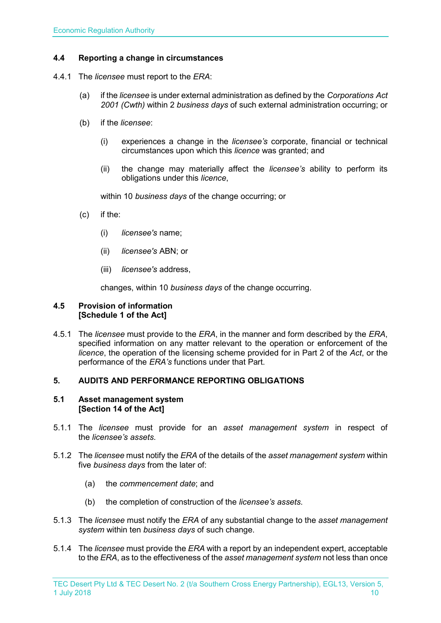#### <span id="page-9-0"></span>**4.4 Reporting a change in circumstances**

- 4.4.1 The *licensee* must report to the *ERA*:
	- (a) if the *licensee* is under external administration as defined by the *Corporations Act 2001 (Cwth)* within 2 *business days* of such external administration occurring; or
	- (b) if the *licensee*:
		- (i) experiences a change in the *licensee's* corporate, financial or technical circumstances upon which this *licence* was granted; and
		- (ii) the change may materially affect the *licensee's* ability to perform its obligations under this *licence*,

within 10 *business days* of the change occurring; or

- (c) if the:
	- (i) *licensee's* name;
	- (ii) *licensee's* ABN; or
	- (iii) *licensee's* address,

changes, within 10 *business days* of the change occurring.

#### <span id="page-9-1"></span>**4.5 Provision of information [Schedule 1 of the Act]**

4.5.1 The *licensee* must provide to the *ERA*, in the manner and form described by the *ERA*, specified information on any matter relevant to the operation or enforcement of the *licence*, the operation of the licensing scheme provided for in Part 2 of the *Act*, or the performance of the *ERA's* functions under that Part.

#### <span id="page-9-2"></span>**5. AUDITS AND PERFORMANCE REPORTING OBLIGATIONS**

#### <span id="page-9-3"></span>**5.1 Asset management system [Section 14 of the Act]**

- 5.1.1 The *licensee* must provide for an *asset management system* in respect of the *licensee's assets*.
- 5.1.2 The *licensee* must notify the *ERA* of the details of the *asset management system* within five *business days* from the later of:
	- (a) the *commencement date*; and
	- (b) the completion of construction of the *licensee's assets*.
- 5.1.3 The *licensee* must notify the *ERA* of any substantial change to the *asset management system* within ten *business days* of such change.
- 5.1.4 The *licensee* must provide the *ERA* with a report by an independent expert, acceptable to the *ERA*, as to the effectiveness of the *asset management system* not less than once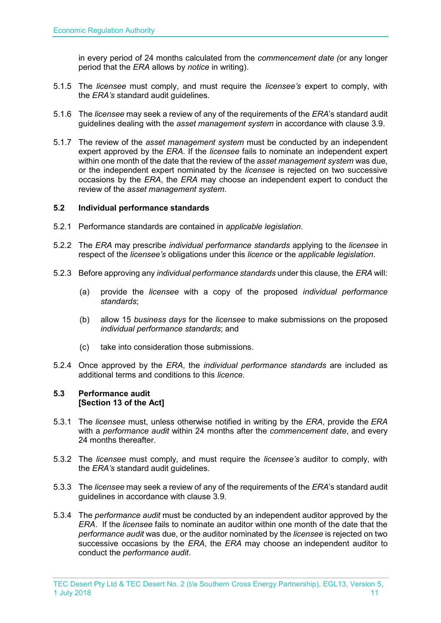in every period of 24 months calculated from the *commencement date (*or any longer period that the *ERA* allows by *notice* in writing).

- 5.1.5 The *licensee* must comply, and must require the *licensee's* expert to comply, with the *ERA's* standard audit guidelines.
- 5.1.6 The *licensee* may seek a review of any of the requirements of the *ERA*'s standard audit guidelines dealing with the *asset management system* in accordance with clause 3.9.
- 5.1.7 The review of the *asset management system* must be conducted by an independent expert approved by the *ERA*. If the *licensee* fails to nominate an independent expert within one month of the date that the review of the *asset management system* was due, or the independent expert nominated by the *licensee* is rejected on two successive occasions by the *ERA*, the *ERA* may choose an independent expert to conduct the review of the *asset management system*.

#### <span id="page-10-0"></span>**5.2 Individual performance standards**

- 5.2.1 Performance standards are contained in *applicable legislation*.
- 5.2.2 The *ERA* may prescribe *individual performance standards* applying to the *licensee* in respect of the *licensee's* obligations under this *licence* or the *applicable legislation*.
- 5.2.3 Before approving any *individual performance standards* under this clause, the *ERA* will:
	- (a) provide the *licensee* with a copy of the proposed *individual performance standards*;
	- (b) allow 15 *business days* for the *licensee* to make submissions on the proposed *individual performance standards*; and
	- (c) take into consideration those submissions.
- 5.2.4 Once approved by the *ERA*, the *individual performance standards* are included as additional terms and conditions to this *licence*.

#### <span id="page-10-1"></span>**5.3 Performance audit [Section 13 of the Act]**

- 5.3.1 The *licensee* must, unless otherwise notified in writing by the *ERA*, provide the *ERA* with a *performance audit* within 24 months after the *commencement date*, and every 24 months thereafter.
- 5.3.2 The *licensee* must comply, and must require the *licensee's* auditor to comply, with the *ERA's* standard audit guidelines.
- 5.3.3 The *licensee* may seek a review of any of the requirements of the *ERA*'s standard audit guidelines in accordance with clause 3.9.
- 5.3.4 The *performance audit* must be conducted by an independent auditor approved by the *ERA*. If the *licensee* fails to nominate an auditor within one month of the date that the *performance audit* was due, or the auditor nominated by the *licensee* is rejected on two successive occasions by the *ERA*, the *ERA* may choose an independent auditor to conduct the *performance audit*.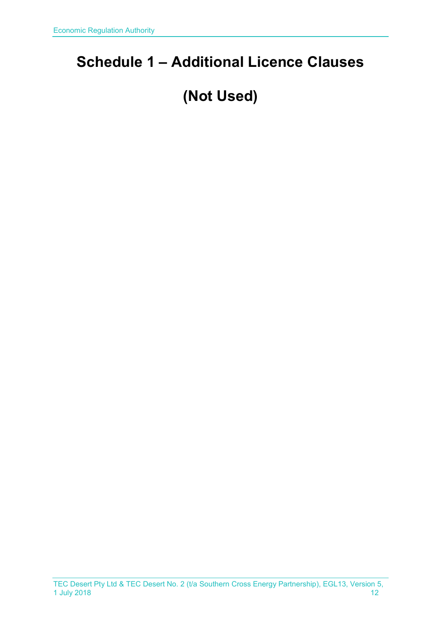# <span id="page-11-0"></span>**Schedule 1 – Additional Licence Clauses**

# **(Not Used)**

TEC Desert Pty Ltd & TEC Desert No. 2 (t/a Southern Cross Energy Partnership), EGL13, Version 5, 1 July 2018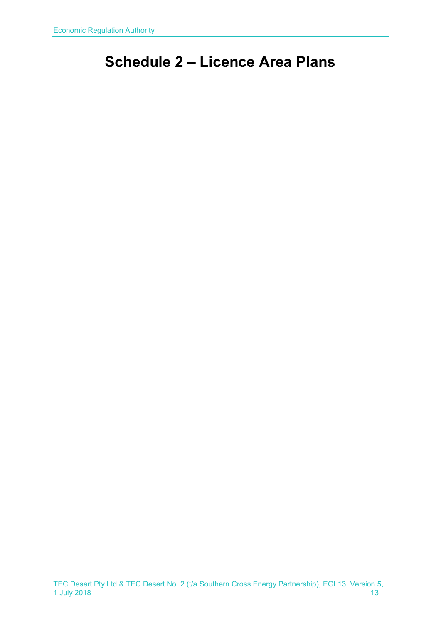# <span id="page-12-0"></span>**Schedule 2 – Licence Area Plans**